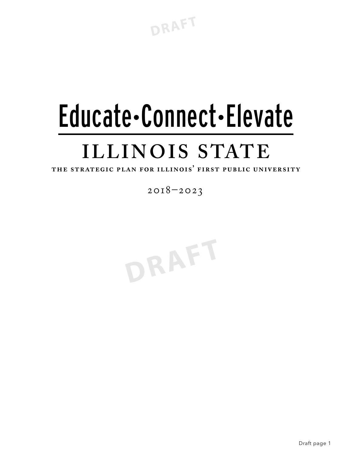**DRAFT**

# Educate•Connect•Elevate **ILLINOIS STATE**

THE STRATEGIC PLAN FOR ILLINOIS' FIRST PUBLIC UNIVERSITY

2018–2023

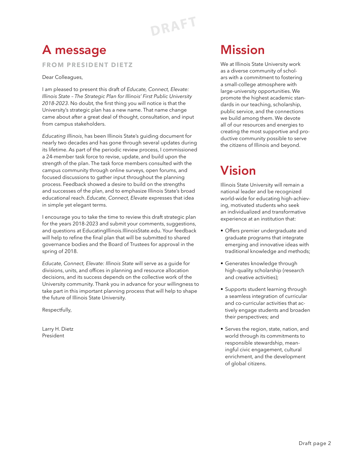**DRAFT**

### A message

**FROM PRESIDENT DIETZ**

Dear Colleagues,

I am pleased to present this draft of *Educate, Connect, Elevate: Illinois State – The Strategic Plan for Illinois' First Public University 2018-2023*. No doubt, the first thing you will notice is that the University's strategic plan has a new name. That name change came about after a great deal of thought, consultation, and input from campus stakeholders.

*Educating Illinois*, has been Illinois State's guiding document for nearly two decades and has gone through several updates during its lifetime. As part of the periodic review process, I commissioned a 24-member task force to revise, update, and build upon the strength of the plan. The task force members consulted with the campus community through online surveys, open forums, and focused discussions to gather input throughout the planning process. Feedback showed a desire to build on the strengths and successes of the plan, and to emphasize Illinois State's broad educational reach. *Educate, Connect, Elevate* expresses that idea in simple yet elegant terms.

I encourage you to take the time to review this draft strategic plan for the years 2018-2023 and submit your comments, suggestions, and questions at EducatingIllinois.IllinoisState.edu. Your feedback will help to refine the final plan that will be submitted to shared governance bodies and the Board of Trustees for approval in the spring of 2018.

*Educate, Connect, Elevate: Illinois State* will serve as a guide for divisions, units, and offices in planning and resource allocation decisions, and its success depends on the collective work of the University community. Thank you in advance for your willingness to take part in this important planning process that will help to shape the future of Illinois State University.

Respectfully,

Larry H. Dietz President

### Mission

We at Illinois State University work as a diverse community of scholars with a commitment to fostering a small-college atmosphere with large-university opportunities. We promote the highest academic standards in our teaching, scholarship, public service, and the connections we build among them. We devote all of our resources and energies to creating the most supportive and productive community possible to serve the citizens of Illinois and beyond.

### Vision

Illinois State University will remain a national leader and be recognized world-wide for educating high-achieving, motivated students who seek an individualized and transformative experience at an institution that:

- Offers premier undergraduate and graduate programs that integrate emerging and innovative ideas with traditional knowledge and methods;
- Generates knowledge through high-quality scholarship (research and creative activities);
- Supports student learning through a seamless integration of curricular and co-curricular activities that actively engage students and broaden their perspectives; and
- Serves the region, state, nation, and world through its commitments to responsible stewardship, meaningful civic engagement, cultural enrichment, and the development of global citizens.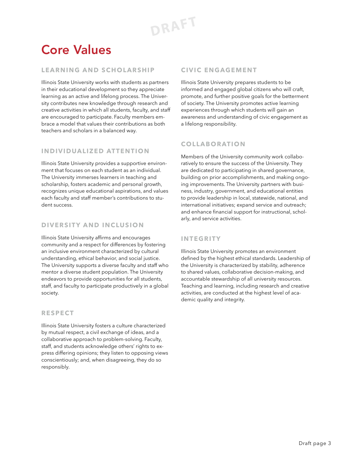### Core Values

#### **LEARNING AND SCHOLARSHIP**

Illinois State University works with students as partners in their educational development so they appreciate learning as an active and lifelong process. The University contributes new knowledge through research and creative activities in which all students, faculty, and staff are encouraged to participate. Faculty members embrace a model that values their contributions as both teachers and scholars in a balanced way.

#### **INDIVIDUALIZED ATTENTION**

Illinois State University provides a supportive environment that focuses on each student as an individual. The University immerses learners in teaching and scholarship, fosters academic and personal growth, recognizes unique educational aspirations, and values each faculty and staff member's contributions to student success.

#### **DIVERSITY AND INCLUSION**

Illinois State University affirms and encourages community and a respect for differences by fostering an inclusive environment characterized by cultural understanding, ethical behavior, and social justice. The University supports a diverse faculty and staff who mentor a diverse student population. The University endeavors to provide opportunities for all students, staff, and faculty to participate productively in a global society.

#### **RESPECT**

Illinois State University fosters a culture characterized by mutual respect, a civil exchange of ideas, and a collaborative approach to problem-solving. Faculty, staff, and students acknowledge others' rights to express differing opinions; they listen to opposing views conscientiously; and, when disagreeing, they do so responsibly.

#### **CIVIC ENGAGEMENT**

Illinois State University prepares students to be informed and engaged global citizens who will craft, promote, and further positive goals for the betterment of society. The University promotes active learning experiences through which students will gain an awareness and understanding of civic engagement as a lifelong responsibility.

#### **COLLABORATION**

Members of the University community work collaboratively to ensure the success of the University. They are dedicated to participating in shared governance, building on prior accomplishments, and making ongoing improvements. The University partners with business, industry, government, and educational entities to provide leadership in local, statewide, national, and international initiatives; expand service and outreach; and enhance financial support for instructional, scholarly, and service activities.

#### **INTEGRITY**

Illinois State University promotes an environment defined by the highest ethical standards. Leadership of the University is characterized by stability, adherence to shared values, collaborative decision-making, and accountable stewardship of all university resources. Teaching and learning, including research and creative activities, are conducted at the highest level of academic quality and integrity.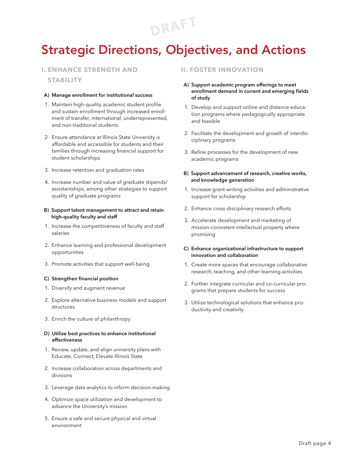**DRAFT**

### Strategic Directions, Objectives, and Actions

#### **I. ENHANCE STRENGTH AND**

**STABILITY**

#### **A) Manage enrollment for institutional success**

- 1. Maintain high-quality academic student profile and sustain enrollment through increased enrollment of transfer, international, underrepresented, and non-traditional students
- 2. Ensure attendance at Illinois State University is affordable and accessible for students and their families through increasing financial support for student scholarships
- 3. Increase retention and graduation rates
- 4. Increase number and value of graduate stipends/ assistantships, among other strategies to support quality of graduate programs

#### **B) Support talent management to attract and retain high-quality faculty and staff**

- 1. Increase the competitiveness of faculty and staff salaries
- 2. Enhance learning and professional development opportunities
- 3. Promote activities that support well-being

#### **C) Strengthen financial position**

- 1. Diversify and augment revenue
- 2. Explore alternative business models and support structures
- 3. Enrich the culture of philanthropy

#### **D) Utilize best practices to enhance institutional effectiveness**

- 1. Review, update, and align university plans with Educate, Connect, Elevate Illinois State
- 2. Increase collaboration across departments and divisions
- 3. Leverage data analytics to inform decision-making
- 4. Optimize space utilization and development to advance the University's mission
- 5. Ensure a safe and secure physical and virtual environment

#### **II. FOSTER INNOVATION**

- **A) Support academic program offerings to meet enrollment demand in current and emerging fields of study**
- 1. Develop and support online and distance education programs where pedagogically appropriate and feasible
- 2. Facilitate the development and growth of interdisciplinary programs
- 3. Refine processes for the development of new academic programs

#### **B) Support advancement of research, creative works, and knowledge generation**

- 1. Increase grant-writing activities and administrative support for scholarship
- 2. Enhance cross-disciplinary research efforts
- 3. Accelerate development and marketing of mission-consistent intellectual property where promising

#### **C) Enhance organizational infrastructure to support innovation and collaboration**

- 1. Create more spaces that encourage collaborative research, teaching, and other learning activities
- 2. Further integrate curricular and co-curricular programs that prepare students for success
- 3. Utilize technological solutions that enhance productivity and creativity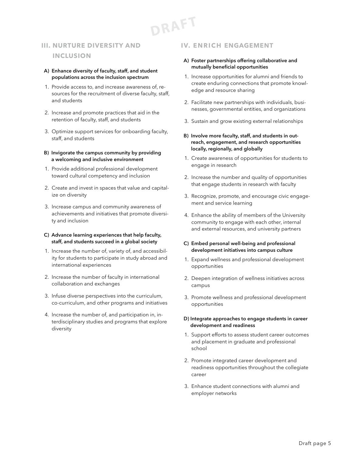**DRAFT**

#### **III. NURTURE DIVERSITY AND INCLUSION**

- **A) Enhance diversity of faculty, staff, and student populations across the inclusion spectrum**
- 1. Provide access to, and increase awareness of, resources for the recruitment of diverse faculty, staff, and students
- 2. Increase and promote practices that aid in the retention of faculty, staff, and students
- 3. Optimize support services for onboarding faculty, staff, and students

#### **B) Invigorate the campus community by providing a welcoming and inclusive environment**

- 1. Provide additional professional development toward cultural competency and inclusion
- 2. Create and invest in spaces that value and capitalize on diversity
- 3. Increase campus and community awareness of achievements and initiatives that promote diversity and inclusion

#### **C) Advance learning experiences that help faculty, staff, and students succeed in a global society**

- 1. Increase the number of, variety of, and accessibility for students to participate in study abroad and international experiences
- 2. Increase the number of faculty in international collaboration and exchanges
- 3. Infuse diverse perspectives into the curriculum, co-curriculum, and other programs and initiatives
- 4. Increase the number of, and participation in, interdisciplinary studies and programs that explore diversity

#### **IV. ENRICH ENGAGEMENT**

#### **A) Foster partnerships offering collaborative and mutually beneficial opportunities**

- 1. Increase opportunities for alumni and friends to create enduring connections that promote knowledge and resource sharing
- 2. Facilitate new partnerships with individuals, businesses, governmental entities, and organizations
- 3. Sustain and grow existing external relationships
- **B) Involve more faculty, staff, and students in outreach, engagement, and research opportunities locally, regionally, and globally**
- 1. Create awareness of opportunities for students to engage in research
- 2. Increase the number and quality of opportunities that engage students in research with faculty
- 3. Recognize, promote, and encourage civic engagement and service learning
- 4. Enhance the ability of members of the University community to engage with each other, internal and external resources, and university partners

#### **C) Embed personal well-being and professional development initiatives into campus culture**

- 1. Expand wellness and professional development opportunities
- 2. Deepen integration of wellness initiatives across campus
- 3. Promote wellness and professional development opportunities

#### **D) Integrate approaches to engage students in career development and readiness**

- 1. Support efforts to assess student career outcomes and placement in graduate and professional school
- 2. Promote integrated career development and readiness opportunities throughout the collegiate career
- 3. Enhance student connections with alumni and employer networks